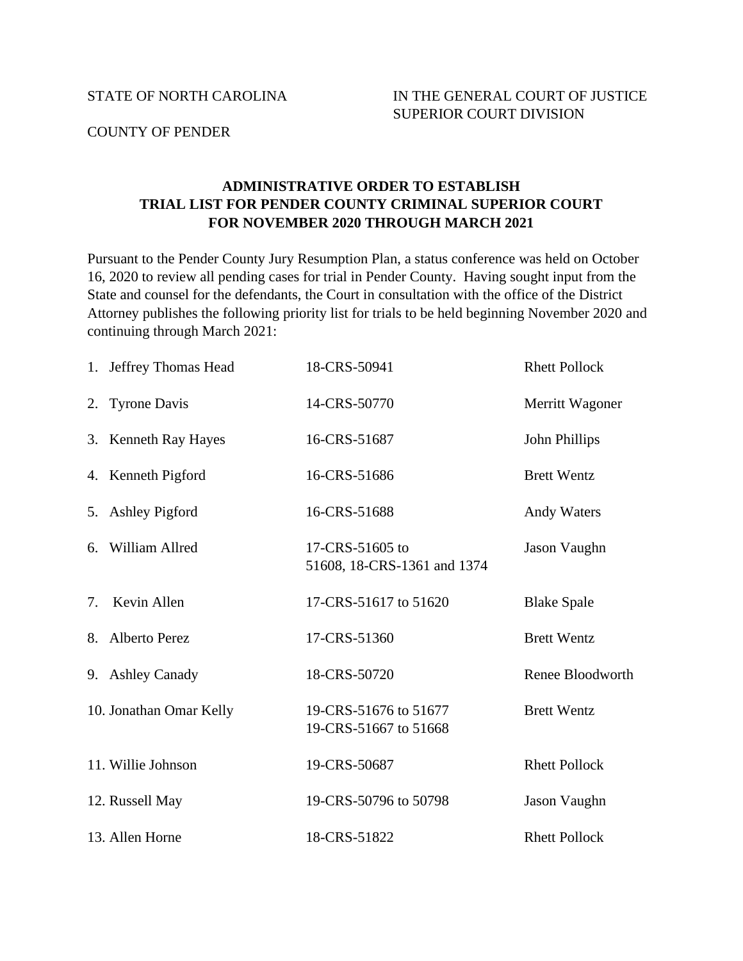## COUNTY OF PENDER

## **ADMINISTRATIVE ORDER TO ESTABLISH TRIAL LIST FOR PENDER COUNTY CRIMINAL SUPERIOR COURT FOR NOVEMBER 2020 THROUGH MARCH 2021**

Pursuant to the Pender County Jury Resumption Plan, a status conference was held on October 16, 2020 to review all pending cases for trial in Pender County. Having sought input from the State and counsel for the defendants, the Court in consultation with the office of the District Attorney publishes the following priority list for trials to be held beginning November 2020 and continuing through March 2021:

|    | 1. Jeffrey Thomas Head  | 18-CRS-50941                                   | <b>Rhett Pollock</b> |
|----|-------------------------|------------------------------------------------|----------------------|
|    | 2. Tyrone Davis         | 14-CRS-50770                                   | Merritt Wagoner      |
|    | 3. Kenneth Ray Hayes    | 16-CRS-51687                                   | John Phillips        |
|    | 4. Kenneth Pigford      | 16-CRS-51686                                   | <b>Brett Wentz</b>   |
|    | 5. Ashley Pigford       | 16-CRS-51688                                   | <b>Andy Waters</b>   |
|    | 6. William Allred       | 17-CRS-51605 to<br>51608, 18-CRS-1361 and 1374 | Jason Vaughn         |
| 7. | Kevin Allen             | 17-CRS-51617 to 51620                          | <b>Blake Spale</b>   |
|    | 8. Alberto Perez        | 17-CRS-51360                                   | <b>Brett Wentz</b>   |
|    | 9. Ashley Canady        | 18-CRS-50720                                   | Renee Bloodworth     |
|    | 10. Jonathan Omar Kelly | 19-CRS-51676 to 51677<br>19-CRS-51667 to 51668 | <b>Brett Wentz</b>   |
|    | 11. Willie Johnson      | 19-CRS-50687                                   | <b>Rhett Pollock</b> |
|    | 12. Russell May         | 19-CRS-50796 to 50798                          | Jason Vaughn         |
|    | 13. Allen Horne         | 18-CRS-51822                                   | <b>Rhett Pollock</b> |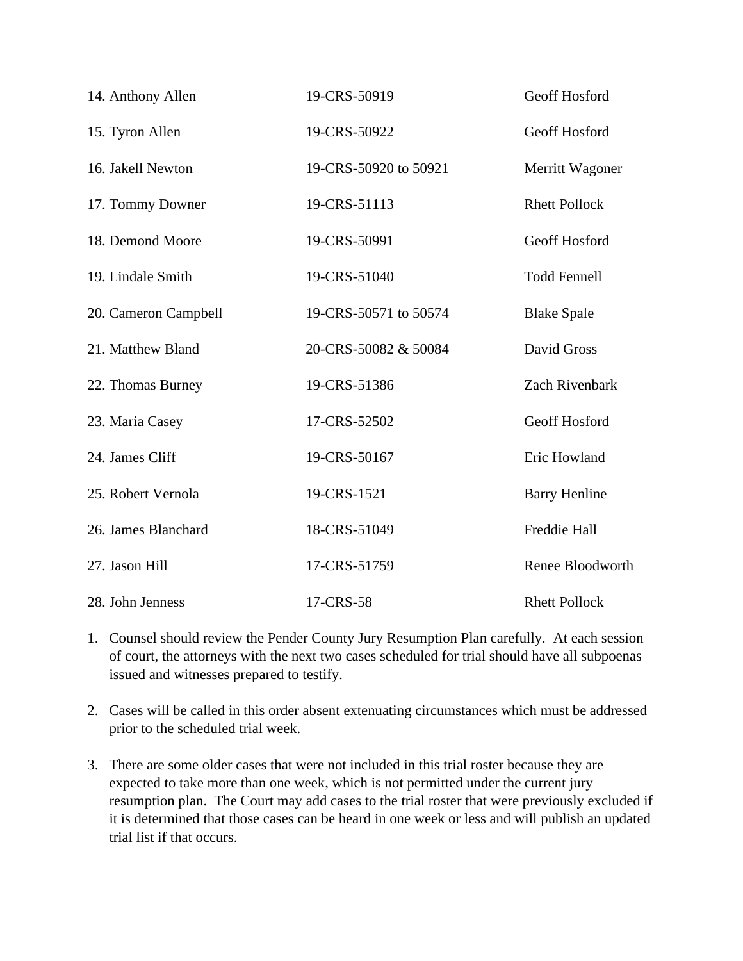| 14. Anthony Allen    | 19-CRS-50919          | Geoff Hosford        |
|----------------------|-----------------------|----------------------|
| 15. Tyron Allen      | 19-CRS-50922          | Geoff Hosford        |
| 16. Jakell Newton    | 19-CRS-50920 to 50921 | Merritt Wagoner      |
| 17. Tommy Downer     | 19-CRS-51113          | <b>Rhett Pollock</b> |
| 18. Demond Moore     | 19-CRS-50991          | Geoff Hosford        |
| 19. Lindale Smith    | 19-CRS-51040          | <b>Todd Fennell</b>  |
| 20. Cameron Campbell | 19-CRS-50571 to 50574 | <b>Blake Spale</b>   |
| 21. Matthew Bland    | 20-CRS-50082 & 50084  | David Gross          |
| 22. Thomas Burney    | 19-CRS-51386          | Zach Rivenbark       |
| 23. Maria Casey      | 17-CRS-52502          | Geoff Hosford        |
| 24. James Cliff      | 19-CRS-50167          | Eric Howland         |
| 25. Robert Vernola   | 19-CRS-1521           | <b>Barry Henline</b> |
| 26. James Blanchard  | 18-CRS-51049          | Freddie Hall         |
| 27. Jason Hill       | 17-CRS-51759          | Renee Bloodworth     |
| 28. John Jenness     | 17-CRS-58             | <b>Rhett Pollock</b> |

- 1. Counsel should review the Pender County Jury Resumption Plan carefully. At each session of court, the attorneys with the next two cases scheduled for trial should have all subpoenas issued and witnesses prepared to testify.
- 2. Cases will be called in this order absent extenuating circumstances which must be addressed prior to the scheduled trial week.
- 3. There are some older cases that were not included in this trial roster because they are expected to take more than one week, which is not permitted under the current jury resumption plan. The Court may add cases to the trial roster that were previously excluded if it is determined that those cases can be heard in one week or less and will publish an updated trial list if that occurs.